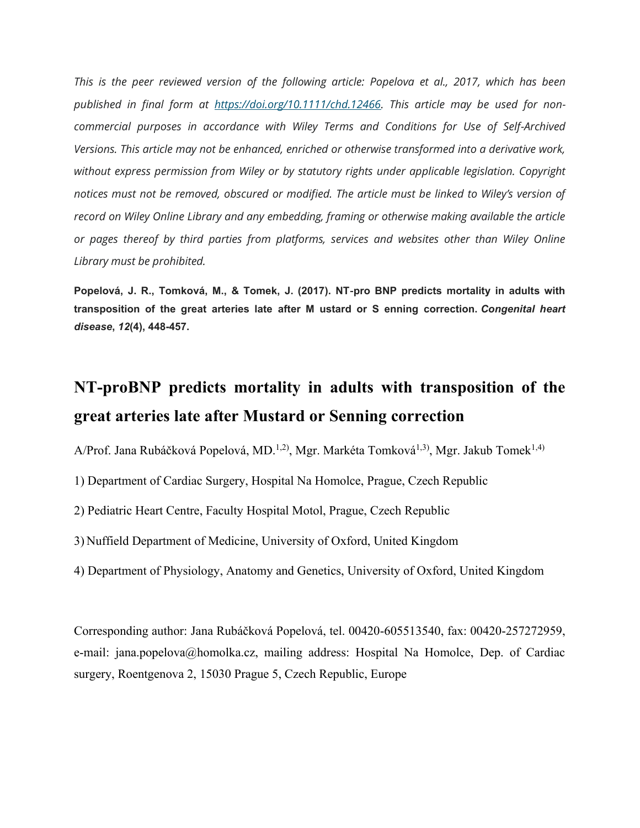*This is the peer reviewed version of the following article: Popelova et al., 2017, which has been published in final form at [https://doi.org/10.1111/chd.12466.](https://doi.org/10.1111/chd.12466) This article may be used for noncommercial purposes in accordance with Wiley Terms and Conditions for Use of Self-Archived Versions. This article may not be enhanced, enriched or otherwise transformed into a derivative work, without express permission from Wiley or by statutory rights under applicable legislation. Copyright notices must not be removed, obscured or modified. The article must be linked to Wiley's version of record on Wiley Online Library and any embedding, framing or otherwise making available the article or pages thereof by third parties from platforms, services and websites other than Wiley Online Library must be prohibited.*

**Popelová, J. R., Tomková, M., & Tomek, J. (2017). NT**‐**pro BNP predicts mortality in adults with transposition of the great arteries late after M ustard or S enning correction.** *Congenital heart disease***,** *12***(4), 448-457.**

# **NT-proBNP predicts mortality in adults with transposition of the great arteries late after Mustard or Senning correction**

A/Prof. Jana Rubáčková Popelová, MD.<sup>1,2)</sup>, Mgr. Markéta Tomková<sup>1,3)</sup>, Mgr. Jakub Tomek<sup>1,4)</sup>

1) Department of Cardiac Surgery, Hospital Na Homolce, Prague, Czech Republic

2) Pediatric Heart Centre, Faculty Hospital Motol, Prague, Czech Republic

3) Nuffield Department of Medicine, University of Oxford, United Kingdom

4) Department of Physiology, Anatomy and Genetics, University of Oxford, United Kingdom

Corresponding author: Jana Rubáčková Popelová, tel. 00420-605513540, fax: 00420-257272959, e-mail: jana.popelova@homolka.cz, mailing address: Hospital Na Homolce, Dep. of Cardiac surgery, Roentgenova 2, 15030 Prague 5, Czech Republic, Europe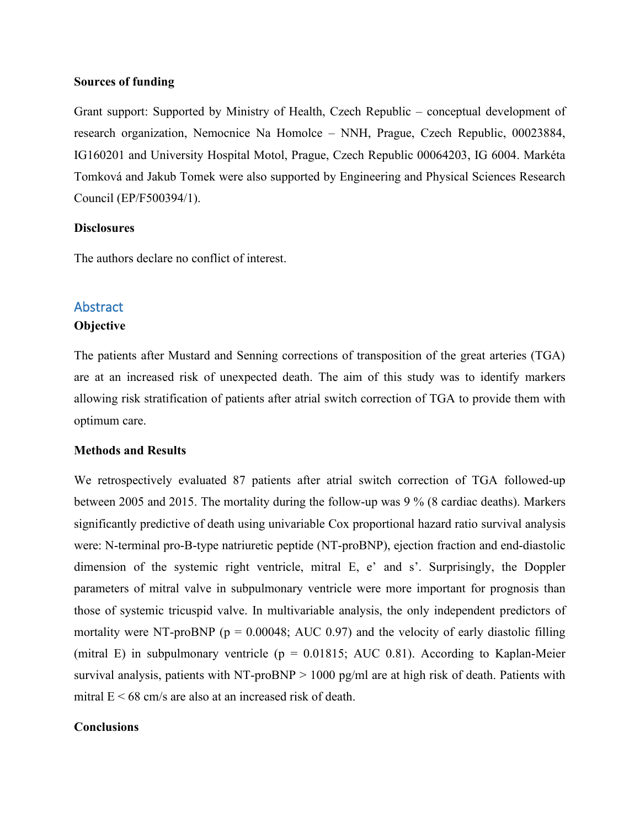#### **Sources of funding**

Grant support: Supported by Ministry of Health, Czech Republic – conceptual development of research organization, Nemocnice Na Homolce – NNH, Prague, Czech Republic, 00023884, IG160201 and University Hospital Motol, Prague, Czech Republic 00064203, IG 6004. Markéta Tomková and Jakub Tomek were also supported by Engineering and Physical Sciences Research Council (EP/F500394/1).

#### **Disclosures**

The authors declare no conflict of interest.

# **Abstract**

#### **Objective**

The patients after Mustard and Senning corrections of transposition of the great arteries (TGA) are at an increased risk of unexpected death. The aim of this study was to identify markers allowing risk stratification of patients after atrial switch correction of TGA to provide them with optimum care.

#### **Methods and Results**

We retrospectively evaluated 87 patients after atrial switch correction of TGA followed-up between 2005 and 2015. The mortality during the follow-up was 9 % (8 cardiac deaths). Markers significantly predictive of death using univariable Cox proportional hazard ratio survival analysis were: N-terminal pro-B-type natriuretic peptide (NT-proBNP), ejection fraction and end-diastolic dimension of the systemic right ventricle, mitral E, e' and s'. Surprisingly, the Doppler parameters of mitral valve in subpulmonary ventricle were more important for prognosis than those of systemic tricuspid valve. In multivariable analysis, the only independent predictors of mortality were NT-proBNP ( $p = 0.00048$ ; AUC 0.97) and the velocity of early diastolic filling (mitral E) in subpulmonary ventricle ( $p = 0.01815$ ; AUC 0.81). According to Kaplan-Meier survival analysis, patients with NT-proBNP  $> 1000$  pg/ml are at high risk of death. Patients with mitral  $E \le 68$  cm/s are also at an increased risk of death.

#### **Conclusions**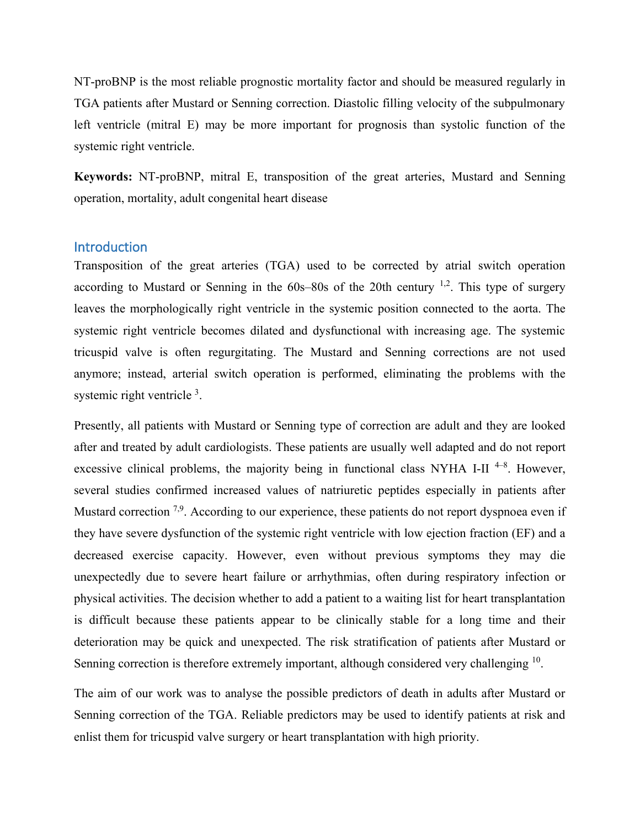NT-proBNP is the most reliable prognostic mortality factor and should be measured regularly in TGA patients after Mustard or Senning correction. Diastolic filling velocity of the subpulmonary left ventricle (mitral E) may be more important for prognosis than systolic function of the systemic right ventricle.

**Keywords:** NT-proBNP, mitral E, transposition of the great arteries, Mustard and Senning operation, mortality, adult congenital heart disease

## Introduction

Transposition of the great arteries (TGA) used to be corrected by atrial switch operation according to Mustard or Senning in the  $60s-80s$  of the 20th century <sup>1,2</sup>. This type of surgery leaves the morphologically right ventricle in the systemic position connected to the aorta. The systemic right ventricle becomes dilated and dysfunctional with increasing age. The systemic tricuspid valve is often regurgitating. The Mustard and Senning corrections are not used anymore; instead, arterial switch operation is performed, eliminating the problems with the systemic right ventricle<sup>3</sup>.

Presently, all patients with Mustard or Senning type of correction are adult and they are looked after and treated by adult cardiologists. These patients are usually well adapted and do not report excessive clinical problems, the majority being in functional class NYHA I-II<sup>4-8</sup>. However, several studies confirmed increased values of natriuretic peptides especially in patients after Mustard correction <sup>7,9</sup>. According to our experience, these patients do not report dyspnoea even if they have severe dysfunction of the systemic right ventricle with low ejection fraction (EF) and a decreased exercise capacity. However, even without previous symptoms they may die unexpectedly due to severe heart failure or arrhythmias, often during respiratory infection or physical activities. The decision whether to add a patient to a waiting list for heart transplantation is difficult because these patients appear to be clinically stable for a long time and their deterioration may be quick and unexpected. The risk stratification of patients after Mustard or Senning correction is therefore extremely important, although considered very challenging <sup>10</sup>.

The aim of our work was to analyse the possible predictors of death in adults after Mustard or Senning correction of the TGA. Reliable predictors may be used to identify patients at risk and enlist them for tricuspid valve surgery or heart transplantation with high priority.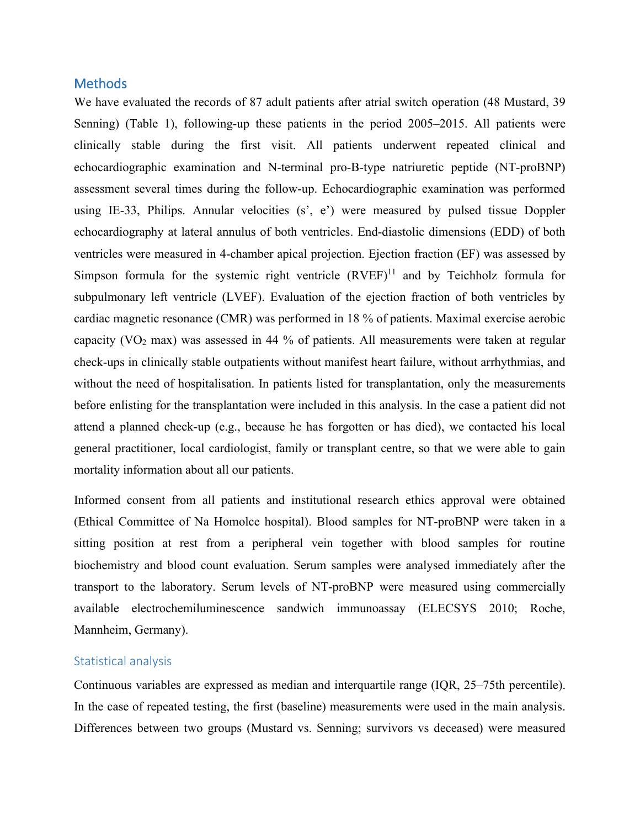## Methods

We have evaluated the records of 87 adult patients after atrial switch operation (48 Mustard, 39 Senning) (Table 1), following-up these patients in the period 2005–2015. All patients were clinically stable during the first visit. All patients underwent repeated clinical and echocardiographic examination and N-terminal pro-B-type natriuretic peptide (NT-proBNP) assessment several times during the follow-up. Echocardiographic examination was performed using IE-33, Philips. Annular velocities (s', e') were measured by pulsed tissue Doppler echocardiography at lateral annulus of both ventricles. End-diastolic dimensions (EDD) of both ventricles were measured in 4-chamber apical projection. Ejection fraction (EF) was assessed by Simpson formula for the systemic right ventricle  $(RVEF)^{11}$  and by Teichholz formula for subpulmonary left ventricle (LVEF). Evaluation of the ejection fraction of both ventricles by cardiac magnetic resonance (CMR) was performed in 18 % of patients. Maximal exercise aerobic capacity ( $VO<sub>2</sub>$  max) was assessed in 44 % of patients. All measurements were taken at regular check-ups in clinically stable outpatients without manifest heart failure, without arrhythmias, and without the need of hospitalisation. In patients listed for transplantation, only the measurements before enlisting for the transplantation were included in this analysis. In the case a patient did not attend a planned check-up (e.g., because he has forgotten or has died), we contacted his local general practitioner, local cardiologist, family or transplant centre, so that we were able to gain mortality information about all our patients.

Informed consent from all patients and institutional research ethics approval were obtained (Ethical Committee of Na Homolce hospital). Blood samples for NT-proBNP were taken in a sitting position at rest from a peripheral vein together with blood samples for routine biochemistry and blood count evaluation. Serum samples were analysed immediately after the transport to the laboratory. Serum levels of NT-proBNP were measured using commercially available electrochemiluminescence sandwich immunoassay (ELECSYS 2010; Roche, Mannheim, Germany).

#### Statistical analysis

Continuous variables are expressed as median and interquartile range (IQR, 25–75th percentile). In the case of repeated testing, the first (baseline) measurements were used in the main analysis. Differences between two groups (Mustard vs. Senning; survivors vs deceased) were measured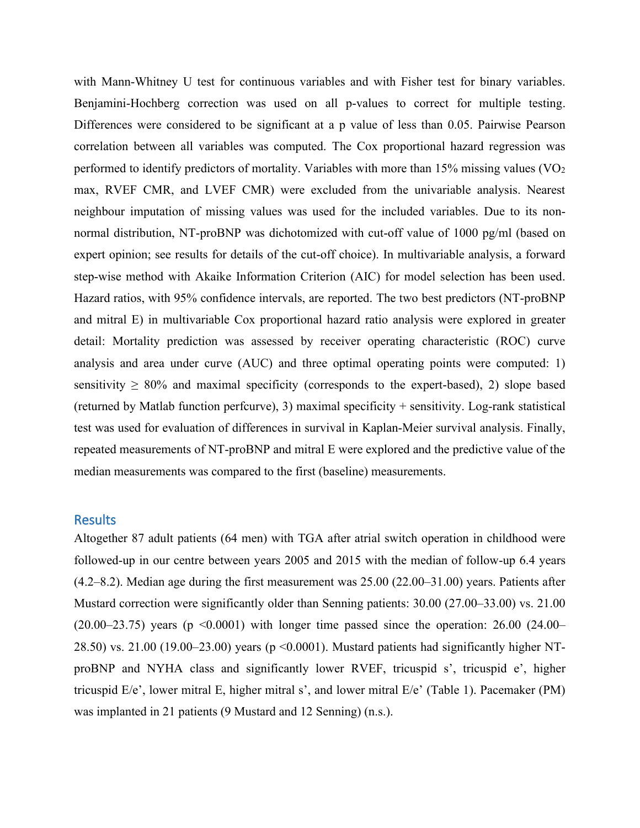with Mann-Whitney U test for continuous variables and with Fisher test for binary variables. Benjamini-Hochberg correction was used on all p-values to correct for multiple testing. Differences were considered to be significant at a p value of less than 0.05. Pairwise Pearson correlation between all variables was computed. The Cox proportional hazard regression was performed to identify predictors of mortality. Variables with more than  $15\%$  missing values (VO<sub>2</sub>) max, RVEF CMR, and LVEF CMR) were excluded from the univariable analysis. Nearest neighbour imputation of missing values was used for the included variables. Due to its nonnormal distribution, NT-proBNP was dichotomized with cut-off value of 1000 pg/ml (based on expert opinion; see results for details of the cut-off choice). In multivariable analysis, a forward step-wise method with Akaike Information Criterion (AIC) for model selection has been used. Hazard ratios, with 95% confidence intervals, are reported. The two best predictors (NT-proBNP and mitral E) in multivariable Cox proportional hazard ratio analysis were explored in greater detail: Mortality prediction was assessed by receiver operating characteristic (ROC) curve analysis and area under curve (AUC) and three optimal operating points were computed: 1) sensitivity  $\geq 80\%$  and maximal specificity (corresponds to the expert-based), 2) slope based (returned by Matlab function perfcurve), 3) maximal specificity + sensitivity. Log-rank statistical test was used for evaluation of differences in survival in Kaplan-Meier survival analysis. Finally, repeated measurements of NT-proBNP and mitral E were explored and the predictive value of the median measurements was compared to the first (baseline) measurements.

## **Results**

Altogether 87 adult patients (64 men) with TGA after atrial switch operation in childhood were followed-up in our centre between years 2005 and 2015 with the median of follow-up 6.4 years (4.2–8.2). Median age during the first measurement was 25.00 (22.00–31.00) years. Patients after Mustard correction were significantly older than Senning patients: 30.00 (27.00–33.00) vs. 21.00  $(20.00-23.75)$  years (p  $\leq 0.0001$ ) with longer time passed since the operation: 26.00 (24.00– 28.50) vs. 21.00 (19.00–23.00) years (p ˂0.0001). Mustard patients had significantly higher NTproBNP and NYHA class and significantly lower RVEF, tricuspid s', tricuspid e', higher tricuspid E/e', lower mitral E, higher mitral s', and lower mitral E/e' (Table 1). Pacemaker (PM) was implanted in 21 patients (9 Mustard and 12 Senning) (n.s.).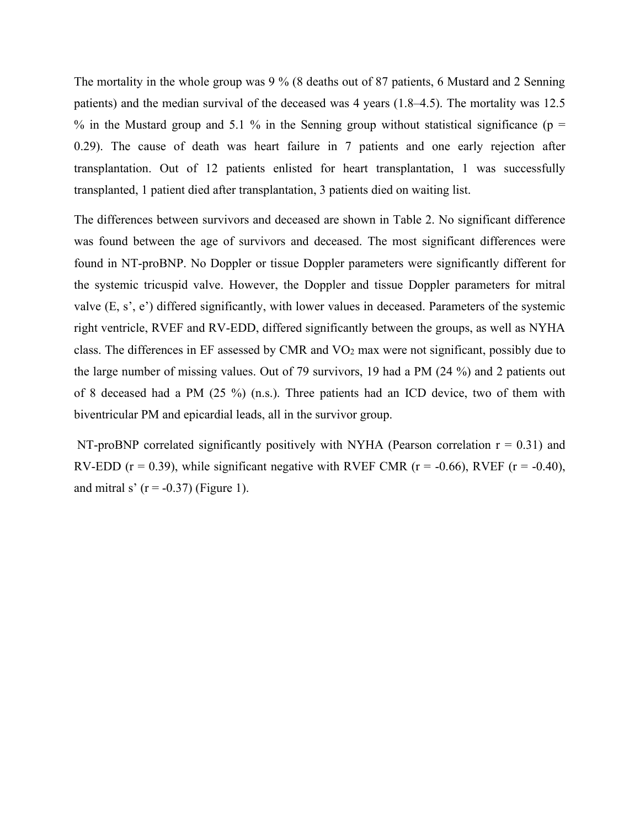The mortality in the whole group was 9 % (8 deaths out of 87 patients, 6 Mustard and 2 Senning patients) and the median survival of the deceased was 4 years (1.8–4.5). The mortality was 12.5 % in the Mustard group and 5.1 % in the Senning group without statistical significance ( $p =$ 0.29). The cause of death was heart failure in 7 patients and one early rejection after transplantation. Out of 12 patients enlisted for heart transplantation, 1 was successfully transplanted, 1 patient died after transplantation, 3 patients died on waiting list.

The differences between survivors and deceased are shown in Table 2. No significant difference was found between the age of survivors and deceased. The most significant differences were found in NT-proBNP. No Doppler or tissue Doppler parameters were significantly different for the systemic tricuspid valve. However, the Doppler and tissue Doppler parameters for mitral valve (E, s', e') differed significantly, with lower values in deceased. Parameters of the systemic right ventricle, RVEF and RV-EDD, differed significantly between the groups, as well as NYHA class. The differences in EF assessed by CMR and  $VO<sub>2</sub>$  max were not significant, possibly due to the large number of missing values. Out of 79 survivors, 19 had a PM (24 %) and 2 patients out of 8 deceased had a PM (25 %) (n.s.). Three patients had an ICD device, two of them with biventricular PM and epicardial leads, all in the survivor group.

NT-proBNP correlated significantly positively with NYHA (Pearson correlation  $r = 0.31$ ) and RV-EDD ( $r = 0.39$ ), while significant negative with RVEF CMR ( $r = -0.66$ ), RVEF ( $r = -0.40$ ), and mitral s'  $(r = -0.37)$  (Figure 1).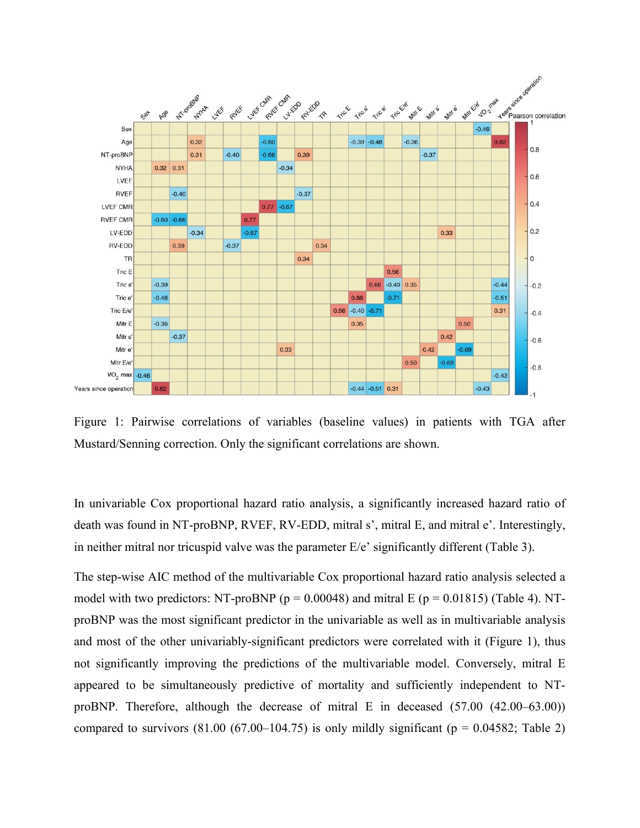

Figure 1: Pairwise correlations of variables (baseline values) in patients with TGA after Mustard/Senning correction. Only the significant correlations are shown.

In univariable Cox proportional hazard ratio analysis, a significantly increased hazard ratio of death was found in NT-proBNP, RVEF, RV-EDD, mitral s', mitral E, and mitral e'. Interestingly, in neither mitral nor tricuspid valve was the parameter E/e' significantly different (Table 3).

The step-wise AIC method of the multivariable Cox proportional hazard ratio analysis selected a model with two predictors: NT-proBNP ( $p = 0.00048$ ) and mitral E ( $p = 0.01815$ ) (Table 4). NTproBNP was the most significant predictor in the univariable as well as in multivariable analysis and most of the other univariably-significant predictors were correlated with it (Figure 1), thus not significantly improving the predictions of the multivariable model. Conversely, mitral E appeared to be simultaneously predictive of mortality and sufficiently independent to NTproBNP. Therefore, although the decrease of mitral E in deceased (57.00 (42.00–63.00)) compared to survivors  $(81.00 \ (67.00-104.75)$  is only mildly significant  $(p = 0.04582;$  Table 2)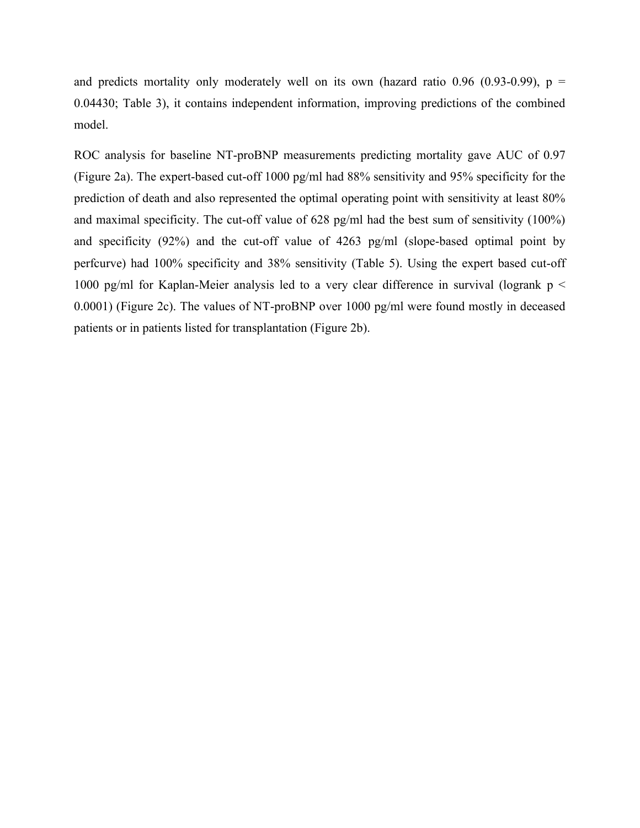and predicts mortality only moderately well on its own (hazard ratio 0.96 (0.93-0.99),  $p =$ 0.04430; Table 3), it contains independent information, improving predictions of the combined model.

ROC analysis for baseline NT-proBNP measurements predicting mortality gave AUC of 0.97 (Figure 2a). The expert-based cut-off 1000 pg/ml had 88% sensitivity and 95% specificity for the prediction of death and also represented the optimal operating point with sensitivity at least 80% and maximal specificity. The cut-off value of 628 pg/ml had the best sum of sensitivity (100%) and specificity (92%) and the cut-off value of 4263 pg/ml (slope-based optimal point by perfcurve) had 100% specificity and 38% sensitivity (Table 5). Using the expert based cut-off 1000 pg/ml for Kaplan-Meier analysis led to a very clear difference in survival (logrank  $p <$ 0.0001) (Figure 2c). The values of NT-proBNP over 1000 pg/ml were found mostly in deceased patients or in patients listed for transplantation (Figure 2b).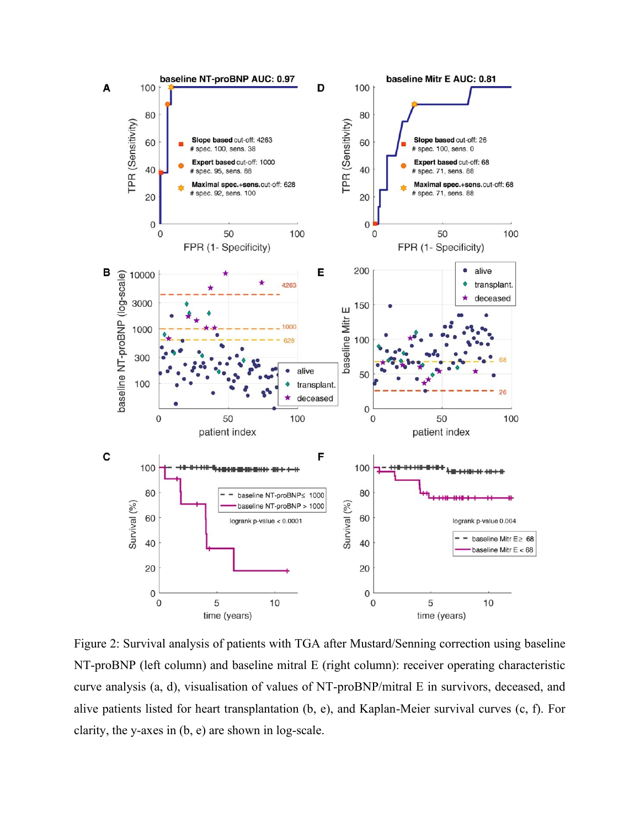

Figure 2: Survival analysis of patients with TGA after Mustard/Senning correction using baseline NT-proBNP (left column) and baseline mitral E (right column): receiver operating characteristic curve analysis (a, d), visualisation of values of NT-proBNP/mitral E in survivors, deceased, and alive patients listed for heart transplantation (b, e), and Kaplan-Meier survival curves (c, f). For clarity, the y-axes in (b, e) are shown in log-scale.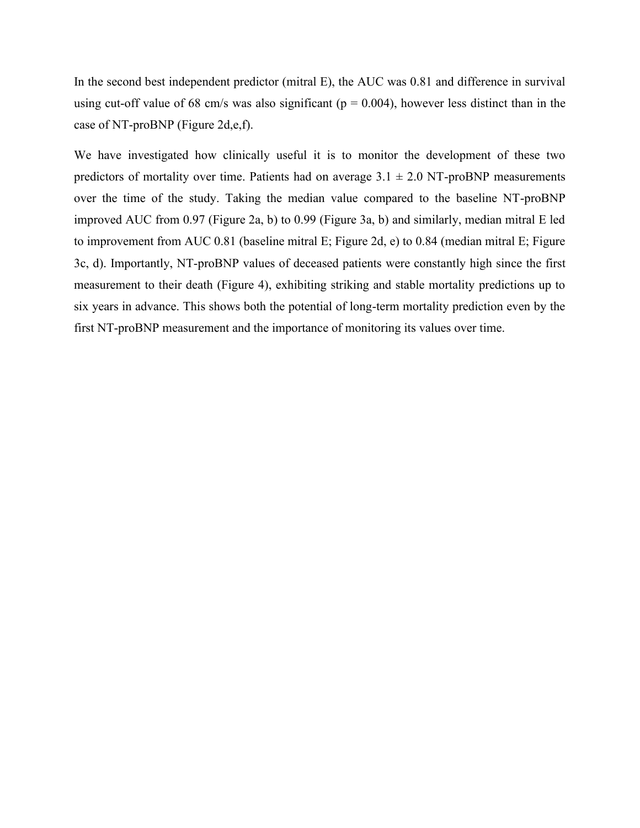In the second best independent predictor (mitral E), the AUC was 0.81 and difference in survival using cut-off value of 68 cm/s was also significant ( $p = 0.004$ ), however less distinct than in the case of NT-proBNP (Figure 2d,e,f).

We have investigated how clinically useful it is to monitor the development of these two predictors of mortality over time. Patients had on average  $3.1 \pm 2.0$  NT-proBNP measurements over the time of the study. Taking the median value compared to the baseline NT-proBNP improved AUC from 0.97 (Figure 2a, b) to 0.99 (Figure 3a, b) and similarly, median mitral E led to improvement from AUC 0.81 (baseline mitral E; Figure 2d, e) to 0.84 (median mitral E; Figure 3c, d). Importantly, NT-proBNP values of deceased patients were constantly high since the first measurement to their death (Figure 4), exhibiting striking and stable mortality predictions up to six years in advance. This shows both the potential of long-term mortality prediction even by the first NT-proBNP measurement and the importance of monitoring its values over time.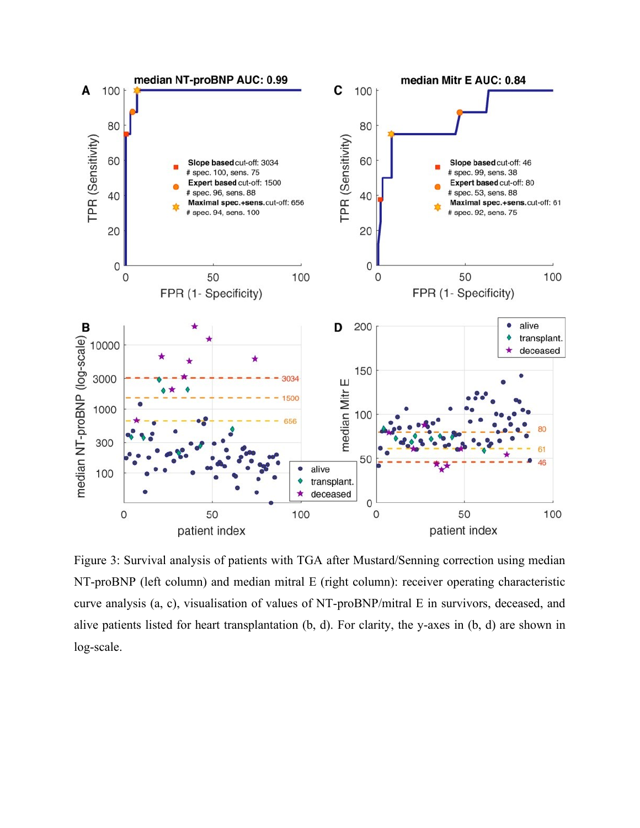

Figure 3: Survival analysis of patients with TGA after Mustard/Senning correction using median NT-proBNP (left column) and median mitral E (right column): receiver operating characteristic curve analysis (a, c), visualisation of values of NT-proBNP/mitral E in survivors, deceased, and alive patients listed for heart transplantation (b, d). For clarity, the y-axes in (b, d) are shown in log-scale.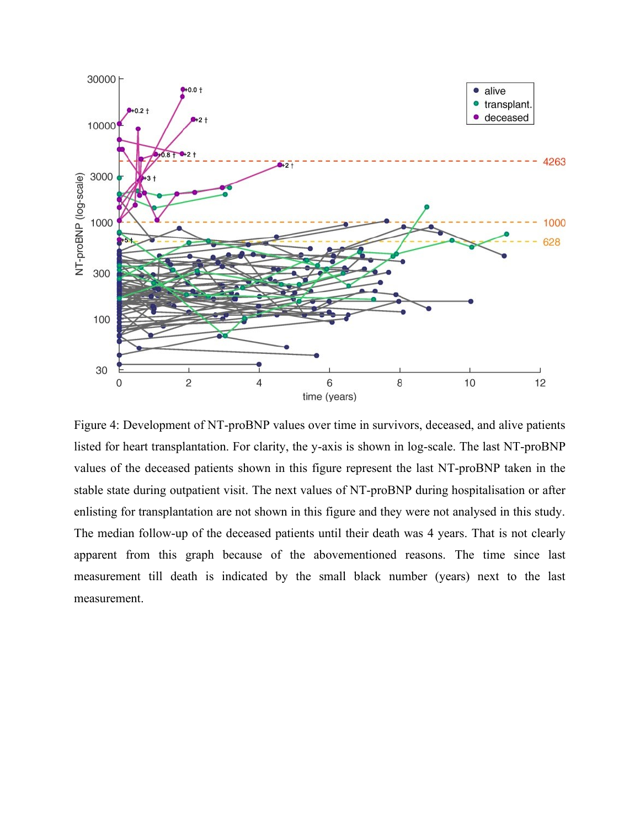

Figure 4: Development of NT-proBNP values over time in survivors, deceased, and alive patients listed for heart transplantation. For clarity, the y-axis is shown in log-scale. The last NT-proBNP values of the deceased patients shown in this figure represent the last NT-proBNP taken in the stable state during outpatient visit. The next values of NT-proBNP during hospitalisation or after enlisting for transplantation are not shown in this figure and they were not analysed in this study. The median follow-up of the deceased patients until their death was 4 years. That is not clearly apparent from this graph because of the abovementioned reasons. The time since last measurement till death is indicated by the small black number (years) next to the last measurement.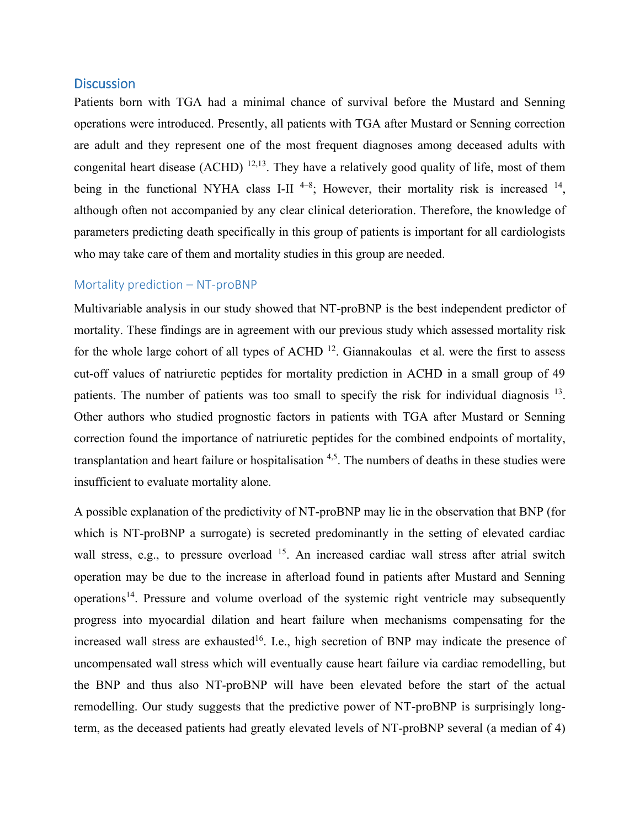## **Discussion**

Patients born with TGA had a minimal chance of survival before the Mustard and Senning operations were introduced. Presently, all patients with TGA after Mustard or Senning correction are adult and they represent one of the most frequent diagnoses among deceased adults with congenital heart disease (ACHD)  $^{12,13}$ . They have a relatively good quality of life, most of them being in the functional NYHA class I-II<sup>4-8</sup>; However, their mortality risk is increased <sup>14</sup>, although often not accompanied by any clear clinical deterioration. Therefore, the knowledge of parameters predicting death specifically in this group of patients is important for all cardiologists who may take care of them and mortality studies in this group are needed.

#### Mortality prediction – NT-proBNP

Multivariable analysis in our study showed that NT-proBNP is the best independent predictor of mortality. These findings are in agreement with our previous study which assessed mortality risk for the whole large cohort of all types of ACHD  $^{12}$ . Giannakoulas et al. were the first to assess cut-off values of natriuretic peptides for mortality prediction in ACHD in a small group of 49 patients. The number of patients was too small to specify the risk for individual diagnosis <sup>13</sup>. Other authors who studied prognostic factors in patients with TGA after Mustard or Senning correction found the importance of natriuretic peptides for the combined endpoints of mortality, transplantation and heart failure or hospitalisation  $4.5$ . The numbers of deaths in these studies were insufficient to evaluate mortality alone.

A possible explanation of the predictivity of NT-proBNP may lie in the observation that BNP (for which is NT-proBNP a surrogate) is secreted predominantly in the setting of elevated cardiac wall stress, e.g., to pressure overload <sup>15</sup>. An increased cardiac wall stress after atrial switch operation may be due to the increase in afterload found in patients after Mustard and Senning operations<sup>14</sup>. Pressure and volume overload of the systemic right ventricle may subsequently progress into myocardial dilation and heart failure when mechanisms compensating for the increased wall stress are exhausted<sup>16</sup>. I.e., high secretion of BNP may indicate the presence of uncompensated wall stress which will eventually cause heart failure via cardiac remodelling, but the BNP and thus also NT-proBNP will have been elevated before the start of the actual remodelling. Our study suggests that the predictive power of NT-proBNP is surprisingly longterm, as the deceased patients had greatly elevated levels of NT-proBNP several (a median of 4)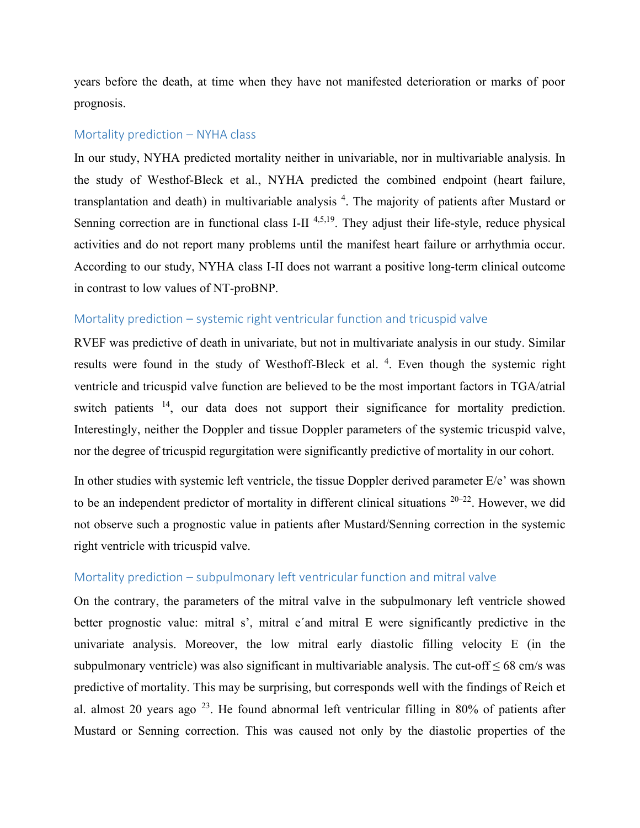years before the death, at time when they have not manifested deterioration or marks of poor prognosis.

#### Mortality prediction – NYHA class

In our study, NYHA predicted mortality neither in univariable, nor in multivariable analysis. In the study of Westhof-Bleck et al., NYHA predicted the combined endpoint (heart failure, transplantation and death) in multivariable analysis<sup>4</sup>. The majority of patients after Mustard or Senning correction are in functional class I-II  $4,5,19$ . They adjust their life-style, reduce physical activities and do not report many problems until the manifest heart failure or arrhythmia occur. According to our study, NYHA class I-II does not warrant a positive long-term clinical outcome in contrast to low values of NT-proBNP.

## Mortality prediction – systemic right ventricular function and tricuspid valve

RVEF was predictive of death in univariate, but not in multivariate analysis in our study. Similar results were found in the study of Westhoff-Bleck et al.<sup>4</sup>. Even though the systemic right ventricle and tricuspid valve function are believed to be the most important factors in TGA/atrial switch patients <sup>14</sup>, our data does not support their significance for mortality prediction. Interestingly, neither the Doppler and tissue Doppler parameters of the systemic tricuspid valve, nor the degree of tricuspid regurgitation were significantly predictive of mortality in our cohort.

In other studies with systemic left ventricle, the tissue Doppler derived parameter E/e' was shown to be an independent predictor of mortality in different clinical situations  $20-22$ . However, we did not observe such a prognostic value in patients after Mustard/Senning correction in the systemic right ventricle with tricuspid valve.

## Mortality prediction – subpulmonary left ventricular function and mitral valve

On the contrary, the parameters of the mitral valve in the subpulmonary left ventricle showed better prognostic value: mitral s', mitral e´and mitral E were significantly predictive in the univariate analysis. Moreover, the low mitral early diastolic filling velocity E (in the subpulmonary ventricle) was also significant in multivariable analysis. The cut-off  $\leq 68$  cm/s was predictive of mortality. This may be surprising, but corresponds well with the findings of Reich et al. almost 20 years ago  $^{23}$ . He found abnormal left ventricular filling in 80% of patients after Mustard or Senning correction. This was caused not only by the diastolic properties of the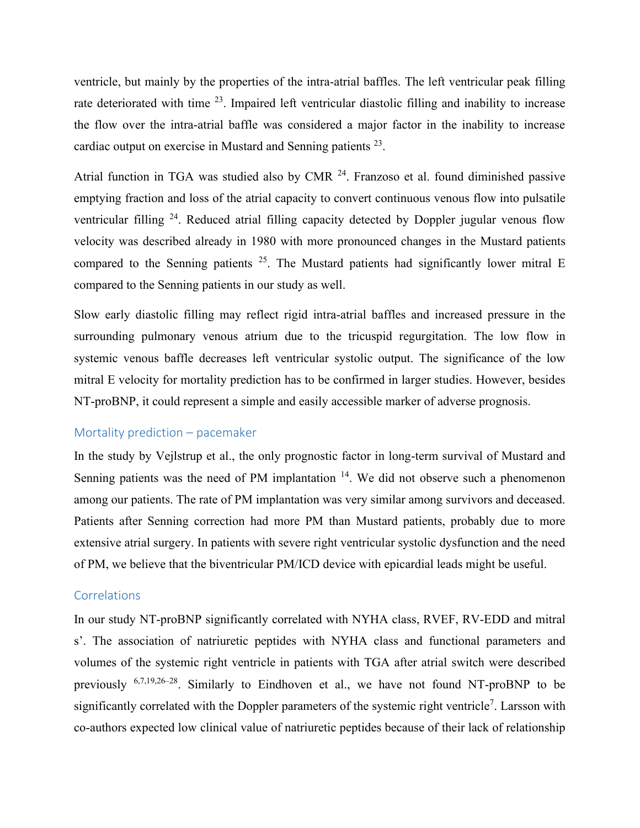ventricle, but mainly by the properties of the intra-atrial baffles. The left ventricular peak filling rate deteriorated with time <sup>23</sup>. Impaired left ventricular diastolic filling and inability to increase the flow over the intra-atrial baffle was considered a major factor in the inability to increase cardiac output on exercise in Mustard and Senning patients  $^{23}$ .

Atrial function in TGA was studied also by CMR  $^{24}$ . Franzoso et al. found diminished passive emptying fraction and loss of the atrial capacity to convert continuous venous flow into pulsatile ventricular filling <sup>24</sup>. Reduced atrial filling capacity detected by Doppler jugular venous flow velocity was described already in 1980 with more pronounced changes in the Mustard patients compared to the Senning patients  $2^5$ . The Mustard patients had significantly lower mitral E compared to the Senning patients in our study as well.

Slow early diastolic filling may reflect rigid intra-atrial baffles and increased pressure in the surrounding pulmonary venous atrium due to the tricuspid regurgitation. The low flow in systemic venous baffle decreases left ventricular systolic output. The significance of the low mitral E velocity for mortality prediction has to be confirmed in larger studies. However, besides NT-proBNP, it could represent a simple and easily accessible marker of adverse prognosis.

## Mortality prediction – pacemaker

In the study by Vejlstrup et al., the only prognostic factor in long-term survival of Mustard and Senning patients was the need of PM implantation  $14$ . We did not observe such a phenomenon among our patients. The rate of PM implantation was very similar among survivors and deceased. Patients after Senning correction had more PM than Mustard patients, probably due to more extensive atrial surgery. In patients with severe right ventricular systolic dysfunction and the need of PM, we believe that the biventricular PM/ICD device with epicardial leads might be useful.

## Correlations

In our study NT-proBNP significantly correlated with NYHA class, RVEF, RV-EDD and mitral s'. The association of natriuretic peptides with NYHA class and functional parameters and volumes of the systemic right ventricle in patients with TGA after atrial switch were described previously <sup>6,7,19,26-28</sup>. Similarly to Eindhoven et al., we have not found NT-proBNP to be significantly correlated with the Doppler parameters of the systemic right ventricle<sup>7</sup>. Larsson with co-authors expected low clinical value of natriuretic peptides because of their lack of relationship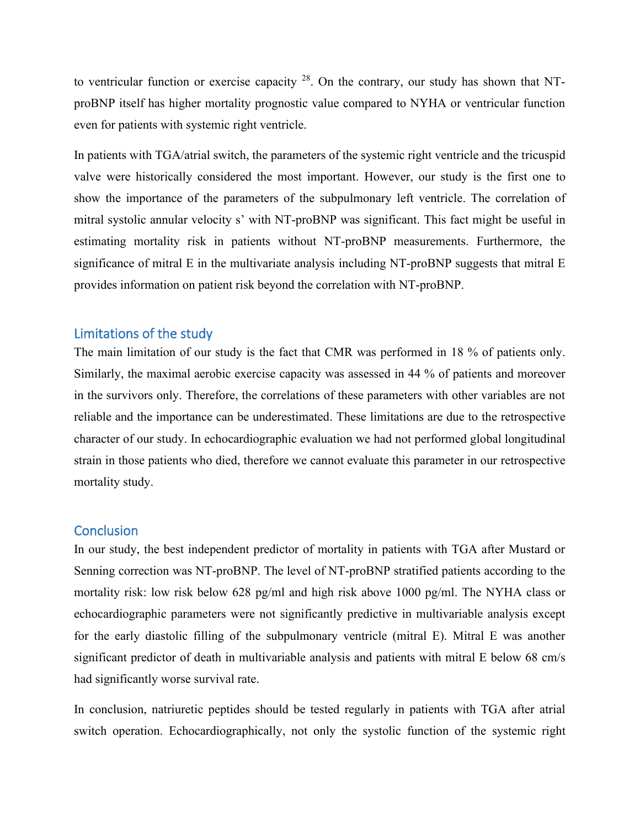to ventricular function or exercise capacity  $^{28}$ . On the contrary, our study has shown that NTproBNP itself has higher mortality prognostic value compared to NYHA or ventricular function even for patients with systemic right ventricle.

In patients with TGA/atrial switch, the parameters of the systemic right ventricle and the tricuspid valve were historically considered the most important. However, our study is the first one to show the importance of the parameters of the subpulmonary left ventricle. The correlation of mitral systolic annular velocity s' with NT-proBNP was significant. This fact might be useful in estimating mortality risk in patients without NT-proBNP measurements. Furthermore, the significance of mitral E in the multivariate analysis including NT-proBNP suggests that mitral E provides information on patient risk beyond the correlation with NT-proBNP.

# Limitations of the study

The main limitation of our study is the fact that CMR was performed in 18 % of patients only. Similarly, the maximal aerobic exercise capacity was assessed in 44 % of patients and moreover in the survivors only. Therefore, the correlations of these parameters with other variables are not reliable and the importance can be underestimated. These limitations are due to the retrospective character of our study. In echocardiographic evaluation we had not performed global longitudinal strain in those patients who died, therefore we cannot evaluate this parameter in our retrospective mortality study.

## **Conclusion**

In our study, the best independent predictor of mortality in patients with TGA after Mustard or Senning correction was NT-proBNP. The level of NT-proBNP stratified patients according to the mortality risk: low risk below 628 pg/ml and high risk above 1000 pg/ml. The NYHA class or echocardiographic parameters were not significantly predictive in multivariable analysis except for the early diastolic filling of the subpulmonary ventricle (mitral E). Mitral E was another significant predictor of death in multivariable analysis and patients with mitral E below 68 cm/s had significantly worse survival rate.

In conclusion, natriuretic peptides should be tested regularly in patients with TGA after atrial switch operation. Echocardiographically, not only the systolic function of the systemic right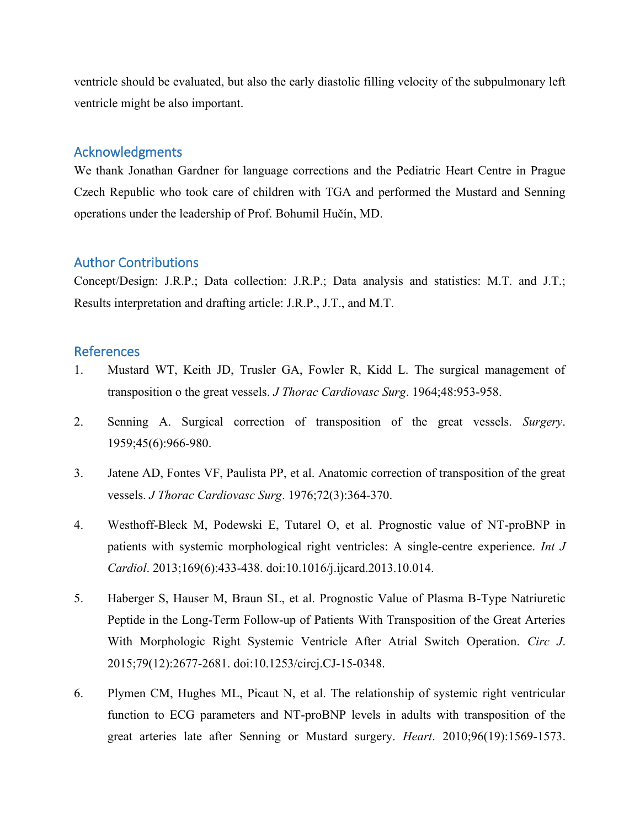ventricle should be evaluated, but also the early diastolic filling velocity of the subpulmonary left ventricle might be also important.

# Acknowledgments

We thank Jonathan Gardner for language corrections and the Pediatric Heart Centre in Prague Czech Republic who took care of children with TGA and performed the Mustard and Senning operations under the leadership of Prof. Bohumil Hučín, MD.

# Author Contributions

Concept/Design: J.R.P.; Data collection: J.R.P.; Data analysis and statistics: M.T. and J.T.; Results interpretation and drafting article: J.R.P., J.T., and M.T.

# References

- 1. Mustard WT, Keith JD, Trusler GA, Fowler R, Kidd L. The surgical management of transposition o the great vessels. *J Thorac Cardiovasc Surg*. 1964;48:953-958.
- 2. Senning A. Surgical correction of transposition of the great vessels. *Surgery*. 1959;45(6):966-980.
- 3. Jatene AD, Fontes VF, Paulista PP, et al. Anatomic correction of transposition of the great vessels. *J Thorac Cardiovasc Surg*. 1976;72(3):364-370.
- 4. Westhoff-Bleck M, Podewski E, Tutarel O, et al. Prognostic value of NT-proBNP in patients with systemic morphological right ventricles: A single-centre experience. *Int J Cardiol*. 2013;169(6):433-438. doi:10.1016/j.ijcard.2013.10.014.
- 5. Haberger S, Hauser M, Braun SL, et al. Prognostic Value of Plasma B-Type Natriuretic Peptide in the Long-Term Follow-up of Patients With Transposition of the Great Arteries With Morphologic Right Systemic Ventricle After Atrial Switch Operation. *Circ J*. 2015;79(12):2677-2681. doi:10.1253/circj.CJ-15-0348.
- 6. Plymen CM, Hughes ML, Picaut N, et al. The relationship of systemic right ventricular function to ECG parameters and NT-proBNP levels in adults with transposition of the great arteries late after Senning or Mustard surgery. *Heart*. 2010;96(19):1569-1573.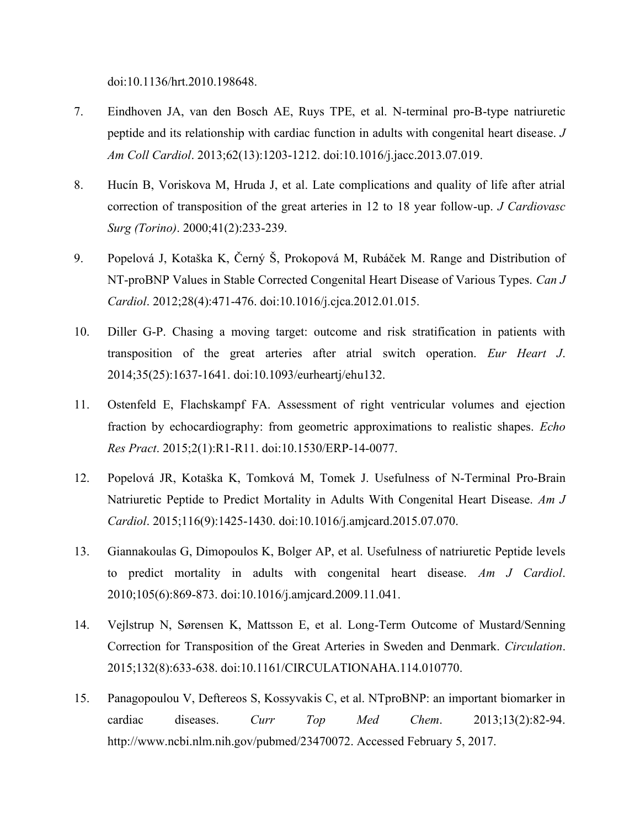doi:10.1136/hrt.2010.198648.

- 7. Eindhoven JA, van den Bosch AE, Ruys TPE, et al. N-terminal pro-B-type natriuretic peptide and its relationship with cardiac function in adults with congenital heart disease. *J Am Coll Cardiol*. 2013;62(13):1203-1212. doi:10.1016/j.jacc.2013.07.019.
- 8. Hucín B, Voriskova M, Hruda J, et al. Late complications and quality of life after atrial correction of transposition of the great arteries in 12 to 18 year follow-up. *J Cardiovasc Surg (Torino)*. 2000;41(2):233-239.
- 9. Popelová J, Kotaška K, Černý Š, Prokopová M, Rubáček M. Range and Distribution of NT-proBNP Values in Stable Corrected Congenital Heart Disease of Various Types. *Can J Cardiol*. 2012;28(4):471-476. doi:10.1016/j.cjca.2012.01.015.
- 10. Diller G-P. Chasing a moving target: outcome and risk stratification in patients with transposition of the great arteries after atrial switch operation. *Eur Heart J*. 2014;35(25):1637-1641. doi:10.1093/eurheartj/ehu132.
- 11. Ostenfeld E, Flachskampf FA. Assessment of right ventricular volumes and ejection fraction by echocardiography: from geometric approximations to realistic shapes. *Echo Res Pract*. 2015;2(1):R1-R11. doi:10.1530/ERP-14-0077.
- 12. Popelová JR, Kotaška K, Tomková M, Tomek J. Usefulness of N-Terminal Pro-Brain Natriuretic Peptide to Predict Mortality in Adults With Congenital Heart Disease. *Am J Cardiol*. 2015;116(9):1425-1430. doi:10.1016/j.amjcard.2015.07.070.
- 13. Giannakoulas G, Dimopoulos K, Bolger AP, et al. Usefulness of natriuretic Peptide levels to predict mortality in adults with congenital heart disease. *Am J Cardiol*. 2010;105(6):869-873. doi:10.1016/j.amjcard.2009.11.041.
- 14. Vejlstrup N, Sørensen K, Mattsson E, et al. Long-Term Outcome of Mustard/Senning Correction for Transposition of the Great Arteries in Sweden and Denmark. *Circulation*. 2015;132(8):633-638. doi:10.1161/CIRCULATIONAHA.114.010770.
- 15. Panagopoulou V, Deftereos S, Kossyvakis C, et al. NTproBNP: an important biomarker in cardiac diseases. *Curr Top Med Chem*. 2013;13(2):82-94. http://www.ncbi.nlm.nih.gov/pubmed/23470072. Accessed February 5, 2017.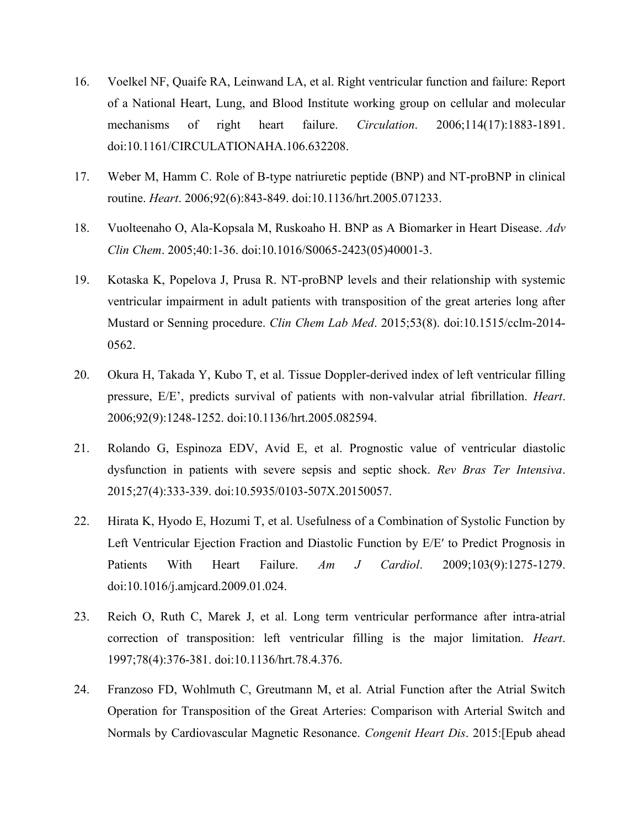- 16. Voelkel NF, Quaife RA, Leinwand LA, et al. Right ventricular function and failure: Report of a National Heart, Lung, and Blood Institute working group on cellular and molecular mechanisms of right heart failure. *Circulation*. 2006;114(17):1883-1891. doi:10.1161/CIRCULATIONAHA.106.632208.
- 17. Weber M, Hamm C. Role of B-type natriuretic peptide (BNP) and NT-proBNP in clinical routine. *Heart*. 2006;92(6):843-849. doi:10.1136/hrt.2005.071233.
- 18. Vuolteenaho O, Ala-Kopsala M, Ruskoaho H. BNP as A Biomarker in Heart Disease. *Adv Clin Chem*. 2005;40:1-36. doi:10.1016/S0065-2423(05)40001-3.
- 19. Kotaska K, Popelova J, Prusa R. NT-proBNP levels and their relationship with systemic ventricular impairment in adult patients with transposition of the great arteries long after Mustard or Senning procedure. *Clin Chem Lab Med*. 2015;53(8). doi:10.1515/cclm-2014- 0562.
- 20. Okura H, Takada Y, Kubo T, et al. Tissue Doppler-derived index of left ventricular filling pressure, E/E', predicts survival of patients with non-valvular atrial fibrillation. *Heart*. 2006;92(9):1248-1252. doi:10.1136/hrt.2005.082594.
- 21. Rolando G, Espinoza EDV, Avid E, et al. Prognostic value of ventricular diastolic dysfunction in patients with severe sepsis and septic shock. *Rev Bras Ter Intensiva*. 2015;27(4):333-339. doi:10.5935/0103-507X.20150057.
- 22. Hirata K, Hyodo E, Hozumi T, et al. Usefulness of a Combination of Systolic Function by Left Ventricular Ejection Fraction and Diastolic Function by E/E′ to Predict Prognosis in Patients With Heart Failure. *Am J Cardiol*. 2009;103(9):1275-1279. doi:10.1016/j.amjcard.2009.01.024.
- 23. Reich O, Ruth C, Marek J, et al. Long term ventricular performance after intra-atrial correction of transposition: left ventricular filling is the major limitation. *Heart*. 1997;78(4):376-381. doi:10.1136/hrt.78.4.376.
- 24. Franzoso FD, Wohlmuth C, Greutmann M, et al. Atrial Function after the Atrial Switch Operation for Transposition of the Great Arteries: Comparison with Arterial Switch and Normals by Cardiovascular Magnetic Resonance. *Congenit Heart Dis*. 2015:[Epub ahead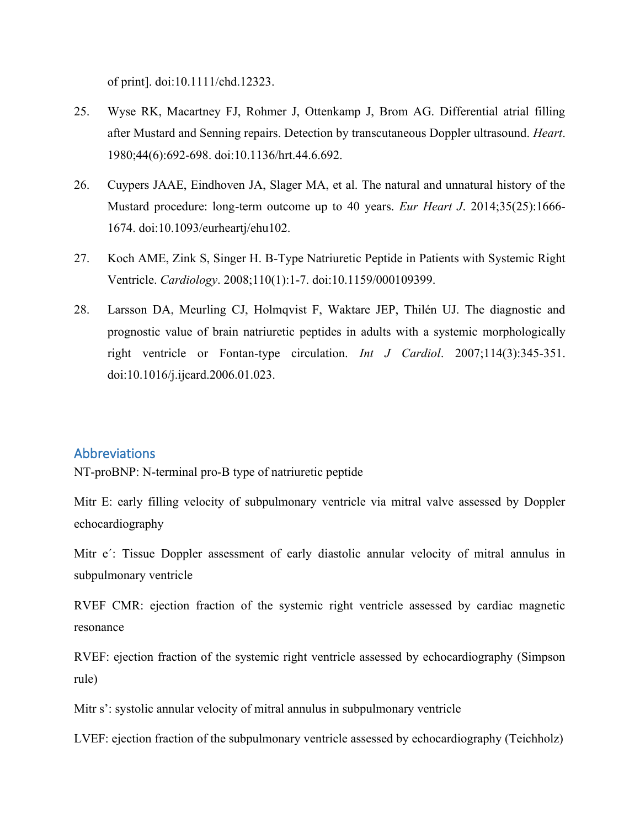of print]. doi:10.1111/chd.12323.

- 25. Wyse RK, Macartney FJ, Rohmer J, Ottenkamp J, Brom AG. Differential atrial filling after Mustard and Senning repairs. Detection by transcutaneous Doppler ultrasound. *Heart*. 1980;44(6):692-698. doi:10.1136/hrt.44.6.692.
- 26. Cuypers JAAE, Eindhoven JA, Slager MA, et al. The natural and unnatural history of the Mustard procedure: long-term outcome up to 40 years. *Eur Heart J*. 2014;35(25):1666- 1674. doi:10.1093/eurheartj/ehu102.
- 27. Koch AME, Zink S, Singer H. B-Type Natriuretic Peptide in Patients with Systemic Right Ventricle. *Cardiology*. 2008;110(1):1-7. doi:10.1159/000109399.
- 28. Larsson DA, Meurling CJ, Holmqvist F, Waktare JEP, Thilén UJ. The diagnostic and prognostic value of brain natriuretic peptides in adults with a systemic morphologically right ventricle or Fontan-type circulation. *Int J Cardiol*. 2007;114(3):345-351. doi:10.1016/j.ijcard.2006.01.023.

# Abbreviations

NT-proBNP: N-terminal pro-B type of natriuretic peptide

Mitr E: early filling velocity of subpulmonary ventricle via mitral valve assessed by Doppler echocardiography

Mitr e´: Tissue Doppler assessment of early diastolic annular velocity of mitral annulus in subpulmonary ventricle

RVEF CMR: ejection fraction of the systemic right ventricle assessed by cardiac magnetic resonance

RVEF: ejection fraction of the systemic right ventricle assessed by echocardiography (Simpson rule)

Mitr s': systolic annular velocity of mitral annulus in subpulmonary ventricle

LVEF: ejection fraction of the subpulmonary ventricle assessed by echocardiography (Teichholz)